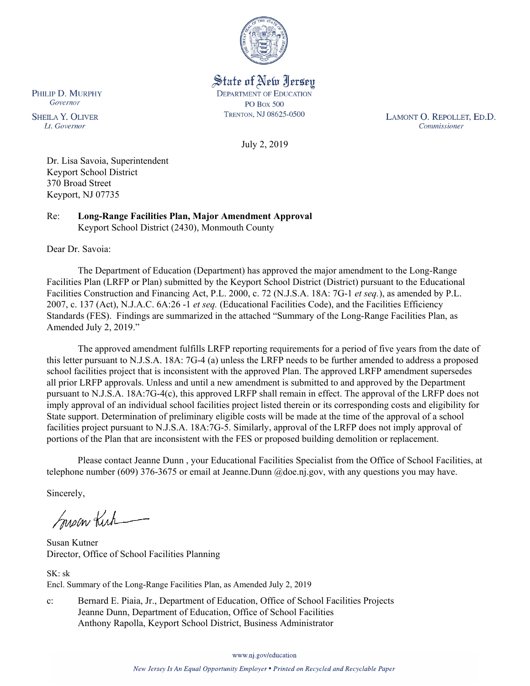

State of New Jersey **DEPARTMENT OF EDUCATION PO Box 500** TRENTON, NJ 08625-0500

LAMONT O. REPOLLET, ED.D. Commissioner

July 2, 2019

Dr. Lisa Savoia, Superintendent Keyport School District 370 Broad Street Keyport, NJ 07735

Re: **Long-Range Facilities Plan, Major Amendment Approval** Keyport School District (2430), Monmouth County

Dear Dr. Savoia:

The Department of Education (Department) has approved the major amendment to the Long-Range Facilities Plan (LRFP or Plan) submitted by the Keyport School District (District) pursuant to the Educational Facilities Construction and Financing Act, P.L. 2000, c. 72 (N.J.S.A. 18A: 7G-1 *et seq.*), as amended by P.L. 2007, c. 137 (Act), N.J.A.C. 6A:26 -1 *et seq.* (Educational Facilities Code), and the Facilities Efficiency Standards (FES). Findings are summarized in the attached "Summary of the Long-Range Facilities Plan, as Amended July 2, 2019."

The approved amendment fulfills LRFP reporting requirements for a period of five years from the date of this letter pursuant to N.J.S.A. 18A: 7G-4 (a) unless the LRFP needs to be further amended to address a proposed school facilities project that is inconsistent with the approved Plan. The approved LRFP amendment supersedes all prior LRFP approvals. Unless and until a new amendment is submitted to and approved by the Department pursuant to N.J.S.A. 18A:7G-4(c), this approved LRFP shall remain in effect. The approval of the LRFP does not imply approval of an individual school facilities project listed therein or its corresponding costs and eligibility for State support. Determination of preliminary eligible costs will be made at the time of the approval of a school facilities project pursuant to N.J.S.A. 18A:7G-5. Similarly, approval of the LRFP does not imply approval of portions of the Plan that are inconsistent with the FES or proposed building demolition or replacement.

Please contact Jeanne Dunn , your Educational Facilities Specialist from the Office of School Facilities, at telephone number (609) 376-3675 or email at Jeanne.Dunn @doe.nj.gov, with any questions you may have.

Sincerely,

Susan Kich

Susan Kutner Director, Office of School Facilities Planning

SK: sk Encl. Summary of the Long-Range Facilities Plan, as Amended July 2, 2019

c: Bernard E. Piaia, Jr., Department of Education, Office of School Facilities Projects Jeanne Dunn, Department of Education, Office of School Facilities Anthony Rapolla, Keyport School District, Business Administrator

www.nj.gov/education

PHILIP D. MURPHY Governor

**SHEILA Y. OLIVER** Lt. Governor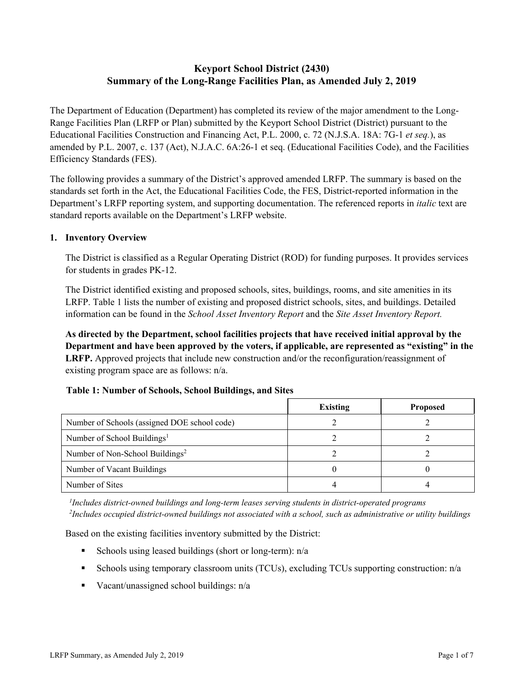# **Keyport School District (2430) Summary of the Long-Range Facilities Plan, as Amended July 2, 2019**

The Department of Education (Department) has completed its review of the major amendment to the Long-Range Facilities Plan (LRFP or Plan) submitted by the Keyport School District (District) pursuant to the Educational Facilities Construction and Financing Act, P.L. 2000, c. 72 (N.J.S.A. 18A: 7G-1 *et seq.*), as amended by P.L. 2007, c. 137 (Act), N.J.A.C. 6A:26-1 et seq. (Educational Facilities Code), and the Facilities Efficiency Standards (FES).

The following provides a summary of the District's approved amended LRFP. The summary is based on the standards set forth in the Act, the Educational Facilities Code, the FES, District-reported information in the Department's LRFP reporting system, and supporting documentation. The referenced reports in *italic* text are standard reports available on the Department's LRFP website.

# **1. Inventory Overview**

The District is classified as a Regular Operating District (ROD) for funding purposes. It provides services for students in grades PK-12.

The District identified existing and proposed schools, sites, buildings, rooms, and site amenities in its LRFP. Table 1 lists the number of existing and proposed district schools, sites, and buildings. Detailed information can be found in the *School Asset Inventory Report* and the *Site Asset Inventory Report.*

**As directed by the Department, school facilities projects that have received initial approval by the Department and have been approved by the voters, if applicable, are represented as "existing" in the LRFP.** Approved projects that include new construction and/or the reconfiguration/reassignment of existing program space are as follows: n/a.

# **Table 1: Number of Schools, School Buildings, and Sites**

|                                              | <b>Existing</b> | <b>Proposed</b> |
|----------------------------------------------|-----------------|-----------------|
| Number of Schools (assigned DOE school code) |                 |                 |
| Number of School Buildings <sup>1</sup>      |                 |                 |
| Number of Non-School Buildings <sup>2</sup>  |                 |                 |
| Number of Vacant Buildings                   |                 |                 |
| Number of Sites                              |                 |                 |

*1 Includes district-owned buildings and long-term leases serving students in district-operated programs 2 Includes occupied district-owned buildings not associated with a school, such as administrative or utility buildings*

Based on the existing facilities inventory submitted by the District:

- Schools using leased buildings (short or long-term):  $n/a$
- Schools using temporary classroom units (TCUs), excluding TCUs supporting construction: n/a
- Vacant/unassigned school buildings:  $n/a$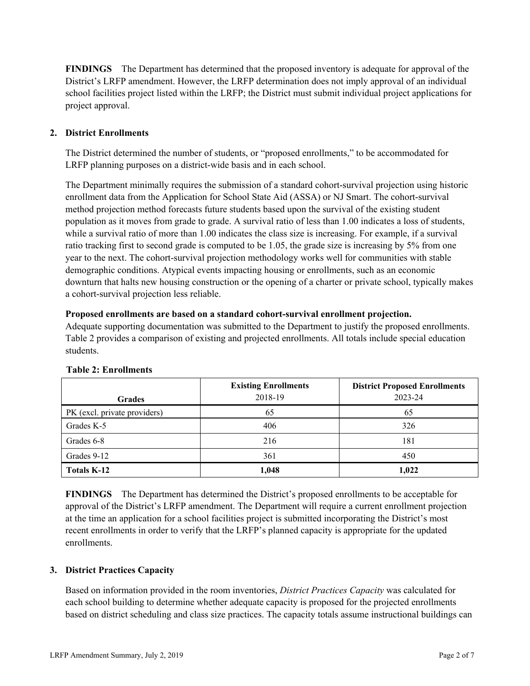**FINDINGS** The Department has determined that the proposed inventory is adequate for approval of the District's LRFP amendment. However, the LRFP determination does not imply approval of an individual school facilities project listed within the LRFP; the District must submit individual project applications for project approval.

# **2. District Enrollments**

The District determined the number of students, or "proposed enrollments," to be accommodated for LRFP planning purposes on a district-wide basis and in each school.

The Department minimally requires the submission of a standard cohort-survival projection using historic enrollment data from the Application for School State Aid (ASSA) or NJ Smart. The cohort-survival method projection method forecasts future students based upon the survival of the existing student population as it moves from grade to grade. A survival ratio of less than 1.00 indicates a loss of students, while a survival ratio of more than 1.00 indicates the class size is increasing. For example, if a survival ratio tracking first to second grade is computed to be 1.05, the grade size is increasing by 5% from one year to the next. The cohort-survival projection methodology works well for communities with stable demographic conditions. Atypical events impacting housing or enrollments, such as an economic downturn that halts new housing construction or the opening of a charter or private school, typically makes a cohort-survival projection less reliable.

#### **Proposed enrollments are based on a standard cohort-survival enrollment projection.**

Adequate supporting documentation was submitted to the Department to justify the proposed enrollments. Table 2 provides a comparison of existing and projected enrollments. All totals include special education students.

| <b>Grades</b>                | <b>Existing Enrollments</b><br>2018-19 | <b>District Proposed Enrollments</b><br>2023-24 |
|------------------------------|----------------------------------------|-------------------------------------------------|
| PK (excl. private providers) | 65                                     | 65                                              |
| Grades K-5                   | 406                                    | 326                                             |
| Grades 6-8                   | 216                                    | 181                                             |
| Grades 9-12                  | 361                                    | 450                                             |
| <b>Totals K-12</b>           | 1,048                                  | 1,022                                           |

#### **Table 2: Enrollments**

**FINDINGS** The Department has determined the District's proposed enrollments to be acceptable for approval of the District's LRFP amendment. The Department will require a current enrollment projection at the time an application for a school facilities project is submitted incorporating the District's most recent enrollments in order to verify that the LRFP's planned capacity is appropriate for the updated enrollments.

#### **3. District Practices Capacity**

Based on information provided in the room inventories, *District Practices Capacity* was calculated for each school building to determine whether adequate capacity is proposed for the projected enrollments based on district scheduling and class size practices. The capacity totals assume instructional buildings can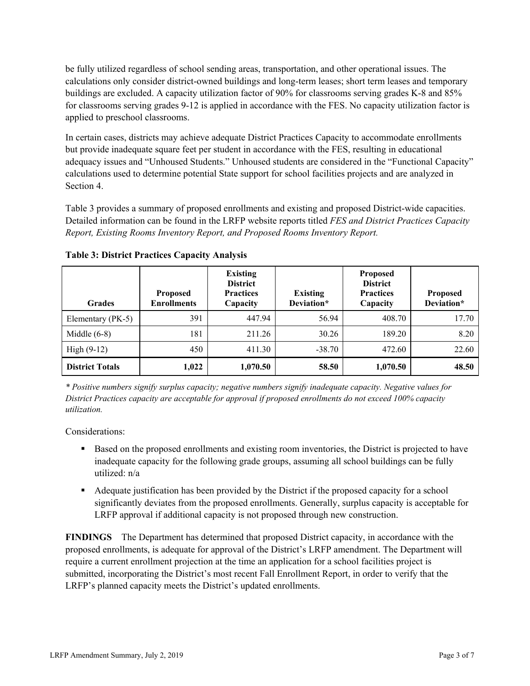be fully utilized regardless of school sending areas, transportation, and other operational issues. The calculations only consider district-owned buildings and long-term leases; short term leases and temporary buildings are excluded. A capacity utilization factor of 90% for classrooms serving grades K-8 and 85% for classrooms serving grades 9-12 is applied in accordance with the FES. No capacity utilization factor is applied to preschool classrooms.

In certain cases, districts may achieve adequate District Practices Capacity to accommodate enrollments but provide inadequate square feet per student in accordance with the FES, resulting in educational adequacy issues and "Unhoused Students." Unhoused students are considered in the "Functional Capacity" calculations used to determine potential State support for school facilities projects and are analyzed in Section 4.

Table 3 provides a summary of proposed enrollments and existing and proposed District-wide capacities. Detailed information can be found in the LRFP website reports titled *FES and District Practices Capacity Report, Existing Rooms Inventory Report, and Proposed Rooms Inventory Report.*

| <b>Grades</b>          | <b>Proposed</b><br><b>Enrollments</b> | <b>Existing</b><br><b>District</b><br><b>Practices</b><br>Capacity | <b>Existing</b><br>Deviation* | <b>Proposed</b><br><b>District</b><br><b>Practices</b><br>Capacity | <b>Proposed</b><br>Deviation* |
|------------------------|---------------------------------------|--------------------------------------------------------------------|-------------------------------|--------------------------------------------------------------------|-------------------------------|
| Elementary (PK-5)      | 391                                   | 447.94                                                             | 56.94                         | 408.70                                                             | 17.70                         |
| Middle $(6-8)$         | 181                                   | 211.26                                                             | 30.26                         | 189.20                                                             | 8.20                          |
| High $(9-12)$          | 450                                   | 411.30                                                             | $-38.70$                      | 472.60                                                             | 22.60                         |
| <b>District Totals</b> | 1,022                                 | 1,070.50                                                           | 58.50                         | 1,070.50                                                           | 48.50                         |

**Table 3: District Practices Capacity Analysis**

*\* Positive numbers signify surplus capacity; negative numbers signify inadequate capacity. Negative values for District Practices capacity are acceptable for approval if proposed enrollments do not exceed 100% capacity utilization.*

Considerations:

- Based on the proposed enrollments and existing room inventories, the District is projected to have inadequate capacity for the following grade groups, assuming all school buildings can be fully utilized: n/a
- Adequate justification has been provided by the District if the proposed capacity for a school significantly deviates from the proposed enrollments. Generally, surplus capacity is acceptable for LRFP approval if additional capacity is not proposed through new construction.

**FINDINGS**The Department has determined that proposed District capacity, in accordance with the proposed enrollments, is adequate for approval of the District's LRFP amendment. The Department will require a current enrollment projection at the time an application for a school facilities project is submitted, incorporating the District's most recent Fall Enrollment Report, in order to verify that the LRFP's planned capacity meets the District's updated enrollments.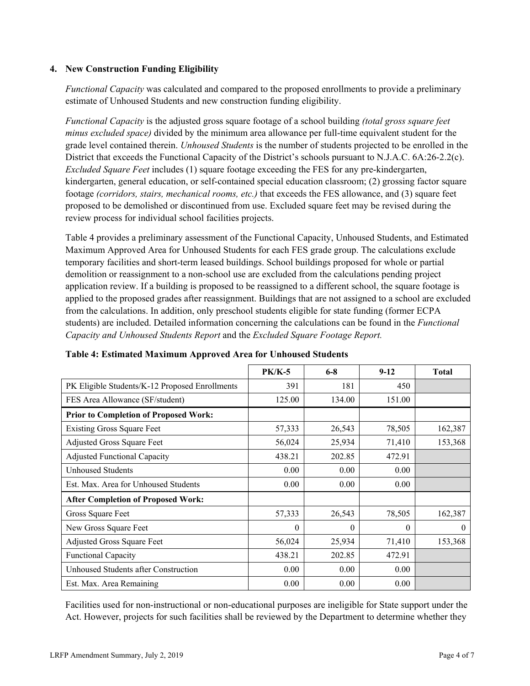### **4. New Construction Funding Eligibility**

*Functional Capacity* was calculated and compared to the proposed enrollments to provide a preliminary estimate of Unhoused Students and new construction funding eligibility.

*Functional Capacity* is the adjusted gross square footage of a school building *(total gross square feet minus excluded space)* divided by the minimum area allowance per full-time equivalent student for the grade level contained therein. *Unhoused Students* is the number of students projected to be enrolled in the District that exceeds the Functional Capacity of the District's schools pursuant to N.J.A.C. 6A:26-2.2(c). *Excluded Square Feet* includes (1) square footage exceeding the FES for any pre-kindergarten, kindergarten, general education, or self-contained special education classroom; (2) grossing factor square footage *(corridors, stairs, mechanical rooms, etc.)* that exceeds the FES allowance, and (3) square feet proposed to be demolished or discontinued from use. Excluded square feet may be revised during the review process for individual school facilities projects.

Table 4 provides a preliminary assessment of the Functional Capacity, Unhoused Students, and Estimated Maximum Approved Area for Unhoused Students for each FES grade group. The calculations exclude temporary facilities and short-term leased buildings. School buildings proposed for whole or partial demolition or reassignment to a non-school use are excluded from the calculations pending project application review. If a building is proposed to be reassigned to a different school, the square footage is applied to the proposed grades after reassignment. Buildings that are not assigned to a school are excluded from the calculations. In addition, only preschool students eligible for state funding (former ECPA students) are included. Detailed information concerning the calculations can be found in the *Functional Capacity and Unhoused Students Report* and the *Excluded Square Footage Report.*

|                                                | $PK/K-5$ | $6 - 8$  | $9-12$   | <b>Total</b> |
|------------------------------------------------|----------|----------|----------|--------------|
| PK Eligible Students/K-12 Proposed Enrollments | 391      | 181      | 450      |              |
| FES Area Allowance (SF/student)                | 125.00   | 134.00   | 151.00   |              |
| <b>Prior to Completion of Proposed Work:</b>   |          |          |          |              |
| <b>Existing Gross Square Feet</b>              | 57,333   | 26,543   | 78,505   | 162,387      |
| Adjusted Gross Square Feet                     | 56,024   | 25,934   | 71,410   | 153,368      |
| <b>Adjusted Functional Capacity</b>            | 438.21   | 202.85   | 472.91   |              |
| Unhoused Students                              | 0.00     | 0.00     | 0.00     |              |
| Est. Max. Area for Unhoused Students           | 0.00     | 0.00     | 0.00     |              |
| <b>After Completion of Proposed Work:</b>      |          |          |          |              |
| Gross Square Feet                              | 57,333   | 26,543   | 78,505   | 162,387      |
| New Gross Square Feet                          | $\theta$ | $\theta$ | $\Omega$ | $\theta$     |
| <b>Adjusted Gross Square Feet</b>              | 56,024   | 25,934   | 71,410   | 153,368      |
| <b>Functional Capacity</b>                     | 438.21   | 202.85   | 472.91   |              |
| Unhoused Students after Construction           | 0.00     | 0.00     | 0.00     |              |
| Est. Max. Area Remaining                       | 0.00     | 0.00     | 0.00     |              |

#### **Table 4: Estimated Maximum Approved Area for Unhoused Students**

Facilities used for non-instructional or non-educational purposes are ineligible for State support under the Act. However, projects for such facilities shall be reviewed by the Department to determine whether they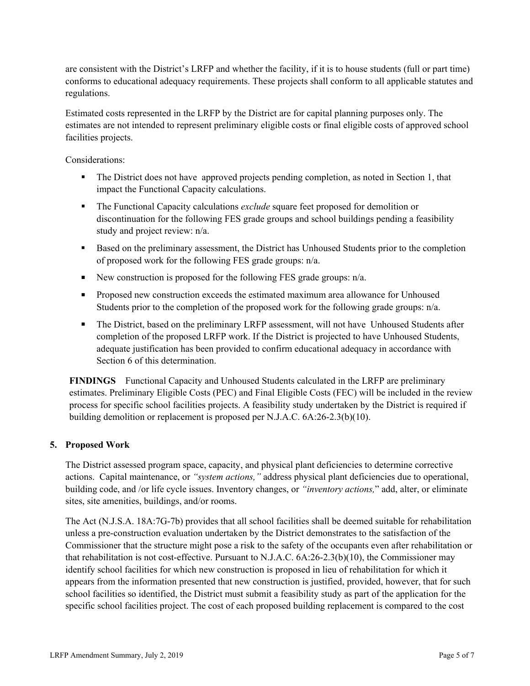are consistent with the District's LRFP and whether the facility, if it is to house students (full or part time) conforms to educational adequacy requirements. These projects shall conform to all applicable statutes and regulations.

Estimated costs represented in the LRFP by the District are for capital planning purposes only. The estimates are not intended to represent preliminary eligible costs or final eligible costs of approved school facilities projects.

Considerations:

- The District does not have approved projects pending completion, as noted in Section 1, that impact the Functional Capacity calculations.
- The Functional Capacity calculations *exclude* square feet proposed for demolition or discontinuation for the following FES grade groups and school buildings pending a feasibility study and project review: n/a.
- Based on the preliminary assessment, the District has Unhoused Students prior to the completion of proposed work for the following FES grade groups: n/a.
- New construction is proposed for the following FES grade groups:  $n/a$ .
- **Proposed new construction exceeds the estimated maximum area allowance for Unhoused** Students prior to the completion of the proposed work for the following grade groups: n/a.
- The District, based on the preliminary LRFP assessment, will not have Unhoused Students after completion of the proposed LRFP work. If the District is projected to have Unhoused Students, adequate justification has been provided to confirm educational adequacy in accordance with Section 6 of this determination.

**FINDINGS** Functional Capacity and Unhoused Students calculated in the LRFP are preliminary estimates. Preliminary Eligible Costs (PEC) and Final Eligible Costs (FEC) will be included in the review process for specific school facilities projects. A feasibility study undertaken by the District is required if building demolition or replacement is proposed per N.J.A.C. 6A:26-2.3(b)(10).

#### **5. Proposed Work**

The District assessed program space, capacity, and physical plant deficiencies to determine corrective actions. Capital maintenance, or *"system actions,"* address physical plant deficiencies due to operational, building code, and /or life cycle issues. Inventory changes, or *"inventory actions,*" add, alter, or eliminate sites, site amenities, buildings, and/or rooms.

The Act (N.J.S.A. 18A:7G-7b) provides that all school facilities shall be deemed suitable for rehabilitation unless a pre-construction evaluation undertaken by the District demonstrates to the satisfaction of the Commissioner that the structure might pose a risk to the safety of the occupants even after rehabilitation or that rehabilitation is not cost-effective. Pursuant to N.J.A.C. 6A:26-2.3(b)(10), the Commissioner may identify school facilities for which new construction is proposed in lieu of rehabilitation for which it appears from the information presented that new construction is justified, provided, however, that for such school facilities so identified, the District must submit a feasibility study as part of the application for the specific school facilities project. The cost of each proposed building replacement is compared to the cost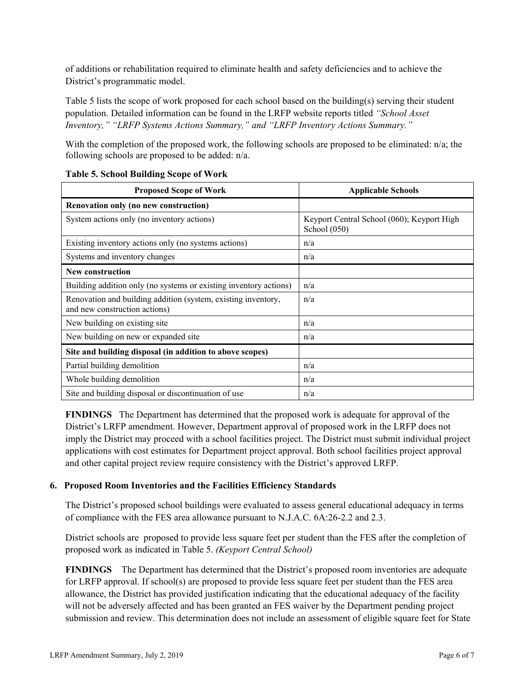of additions or rehabilitation required to eliminate health and safety deficiencies and to achieve the District's programmatic model.

Table 5 lists the scope of work proposed for each school based on the building(s) serving their student population. Detailed information can be found in the LRFP website reports titled *"School Asset Inventory," "LRFP Systems Actions Summary," and "LRFP Inventory Actions Summary."*

With the completion of the proposed work, the following schools are proposed to be eliminated: n/a; the following schools are proposed to be added: n/a.

| <b>Proposed Scope of Work</b>                                                                  | <b>Applicable Schools</b>                                    |
|------------------------------------------------------------------------------------------------|--------------------------------------------------------------|
| Renovation only (no new construction)                                                          |                                                              |
| System actions only (no inventory actions)                                                     | Keyport Central School (060); Keyport High<br>School $(050)$ |
| Existing inventory actions only (no systems actions)                                           | n/a                                                          |
| Systems and inventory changes                                                                  | n/a                                                          |
| New construction                                                                               |                                                              |
| Building addition only (no systems or existing inventory actions)                              | n/a                                                          |
| Renovation and building addition (system, existing inventory,<br>and new construction actions) | n/a                                                          |
| New building on existing site                                                                  | n/a                                                          |
| New building on new or expanded site                                                           | n/a                                                          |
| Site and building disposal (in addition to above scopes)                                       |                                                              |
| Partial building demolition                                                                    | n/a                                                          |
| Whole building demolition                                                                      | n/a                                                          |
| Site and building disposal or discontinuation of use                                           | n/a                                                          |

### **Table 5. School Building Scope of Work**

**FINDINGS** The Department has determined that the proposed work is adequate for approval of the District's LRFP amendment. However, Department approval of proposed work in the LRFP does not imply the District may proceed with a school facilities project. The District must submit individual project applications with cost estimates for Department project approval. Both school facilities project approval and other capital project review require consistency with the District's approved LRFP.

# **6. Proposed Room Inventories and the Facilities Efficiency Standards**

The District's proposed school buildings were evaluated to assess general educational adequacy in terms of compliance with the FES area allowance pursuant to N.J.A.C. 6A:26-2.2 and 2.3.

District schools are proposed to provide less square feet per student than the FES after the completion of proposed work as indicated in Table 5. *(Keyport Central School)*

**FINDINGS** The Department has determined that the District's proposed room inventories are adequate for LRFP approval. If school(s) are proposed to provide less square feet per student than the FES area allowance, the District has provided justification indicating that the educational adequacy of the facility will not be adversely affected and has been granted an FES waiver by the Department pending project submission and review. This determination does not include an assessment of eligible square feet for State